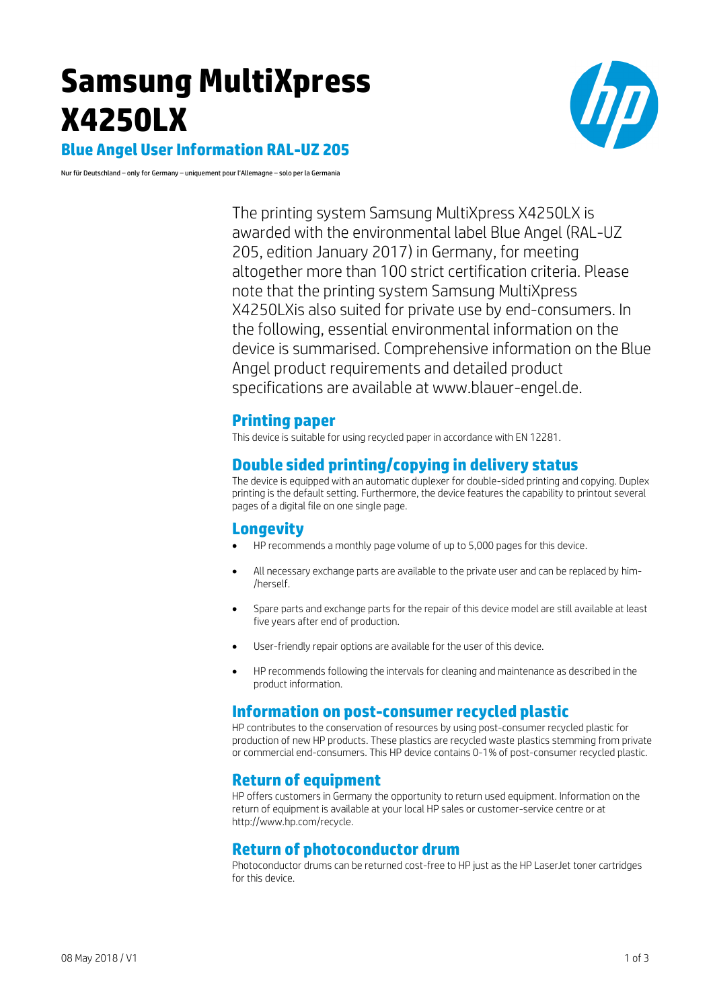# **Samsung MultiXpress X4250LX**



**Blue Angel User Information RAL-UZ 205**

Nur für Deutschland – only for Germany – uniquement pour l'Allemagne – solo per la Germania

The printing system Samsung MultiXpress X4250LX is awarded with the environmental label Blue Angel (RAL-UZ 205, edition January 2017) in Germany, for meeting altogether more than 100 strict certification criteria. Please note that the printing system Samsung MultiXpress X4250LXis also suited for private use by end-consumers. In the following, essential environmental information on the device is summarised. Comprehensive information on the Blue Angel product requirements and detailed product specifications are available at www.blauer-engel.de.

#### **Printing paper**

This device is suitable for using recycled paper in accordance with EN 12281.

# **Double sided printing/copying in delivery status**

The device is equipped with an automatic duplexer for double-sided printing and copying. Duplex printing is the default setting. Furthermore, the device features the capability to printout several pages of a digital file on one single page.

## **Longevity**

- HP recommends a monthly page volume of up to 5,000 pages for this device.
- All necessary exchange parts are available to the private user and can be replaced by him- /herself.
- Spare parts and exchange parts for the repair of this device model are still available at least five years after end of production.
- User-friendly repair options are available for the user of this device.
- HP recommends following the intervals for cleaning and maintenance as described in the product information.

#### **Information on post-consumer recycled plastic**

HP contributes to the conservation of resources by using post-consumer recycled plastic for production of new HP products. These plastics are recycled waste plastics stemming from private or commercial end-consumers. This HP device contains 0-1% of post-consumer recycled plastic.

## **Return of equipment**

HP offers customers in Germany the opportunity to return used equipment. Information on the return of equipment is available at your local HP sales or customer-service centre or at http://www.hp.com/recycle.

# **Return of photoconductor drum**

Photoconductor drums can be returned cost-free to HP just as the HP LaserJet toner cartridges for this device.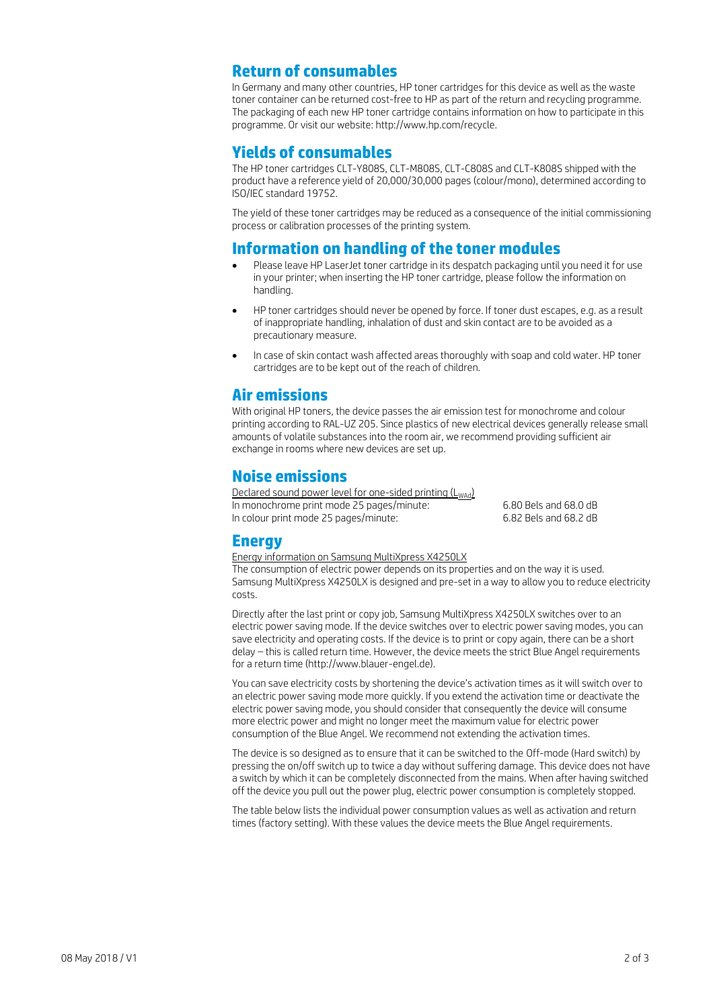### **Return of consumables**

In Germany and many other countries, HP toner cartridges for this device as well as the waste toner container can be returned cost-free to HP as part of the return and recycling programme. The packaging of each new HP toner cartridge contains information on how to participate in this programme. Or visit our website: http://www.hp.com/recycle.

### **Yields of consumables**

The HP toner cartridges CLT-Y808S, CLT-M808S, CLT-C808S and CLT-K808S shipped with the product have a reference yield of 20,000/30,000 pages (colour/mono), determined according to ISO/IEC standard 19752.

The yield of these toner cartridges may be reduced as a consequence of the initial commissioning process or calibration processes of the printing system.

#### **Information on handling of the toner modules**

- Please leave HP LaserJet toner cartridge in its despatch packaging until you need it for use in your printer; when inserting the HP toner cartridge, please follow the information on handling.
- HP toner cartridges should never be opened by force. If toner dust escapes, e.g. as a result of inappropriate handling, inhalation of dust and skin contact are to be avoided as a precautionary measure.
- In case of skin contact wash affected areas thoroughly with soap and cold water. HP toner cartridges are to be kept out of the reach of children.

## **Air emissions**

With original HP toners, the device passes the air emission test for monochrome and colour printing according to RAL-UZ 205. Since plastics of new electrical devices generally release small amounts of volatile substances into the room air, we recommend providing sufficient air exchange in rooms where new devices are set up.

# **Noise emissions**

Declared sound power level for one-sided printing  $(L_{Wdd})$ In monochrome print mode 25 pages/minute: 6.80 Bels and 68.0 dB<br>In colour print mode 25 pages/minute: 6.82 Bels and 68.2 dB In colour print mode 25 pages/minute:

#### **Energy**

#### Energy information on Samsung MultiXpress X4250LX

The consumption of electric power depends on its properties and on the way it is used. Samsung MultiXpress X4250LX is designed and pre-set in a way to allow you to reduce electricity costs.

Directly after the last print or copy job, Samsung MultiXpress X4250LX switches over to an electric power saving mode. If the device switches over to electric power saving modes, you can save electricity and operating costs. If the device is to print or copy again, there can be a short delay – this is called return time. However, the device meets the strict Blue Angel requirements for a return time (http://www.blauer-engel.de).

You can save electricity costs by shortening the device's activation times as it will switch over to an electric power saving mode more quickly. If you extend the activation time or deactivate the electric power saving mode, you should consider that consequently the device will consume more electric power and might no longer meet the maximum value for electric power consumption of the Blue Angel. We recommend not extending the activation times.

The device is so designed as to ensure that it can be switched to the Off-mode (Hard switch) by pressing the on/off switch up to twice a day without suffering damage. This device does not have a switch by which it can be completely disconnected from the mains. When after having switched off the device you pull out the power plug, electric power consumption is completely stopped.

The table below lists the individual power consumption values as well as activation and return times (factory setting). With these values the device meets the Blue Angel requirements.